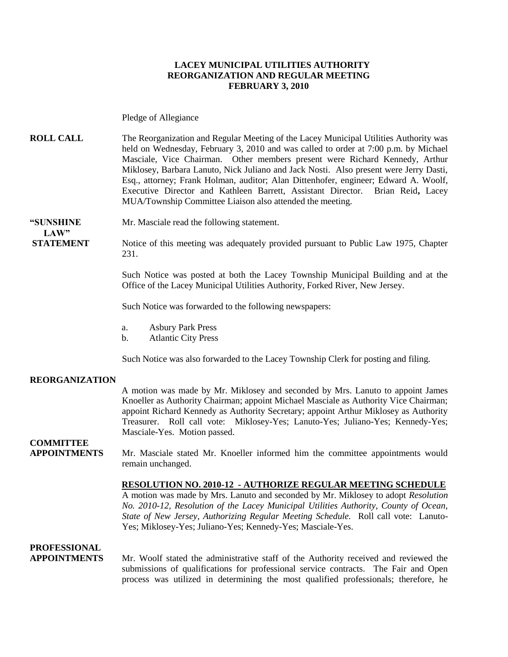### **LACEY MUNICIPAL UTILITIES AUTHORITY REORGANIZATION AND REGULAR MEETING FEBRUARY 3, 2010**

Pledge of Allegiance

**ROLL CALL** The Reorganization and Regular Meeting of the Lacey Municipal Utilities Authority was held on Wednesday, February 3, 2010 and was called to order at 7:00 p.m. by Michael Masciale, Vice Chairman. Other members present were Richard Kennedy, Arthur Miklosey, Barbara Lanuto, Nick Juliano and Jack Nosti. Also present were Jerry Dasti, Esq., attorney; Frank Holman, auditor; Alan Dittenhofer, engineer; Edward A. Woolf, Executive Director and Kathleen Barrett, Assistant Director. Brian Reid**,** Lacey MUA/Township Committee Liaison also attended the meeting.

**LAW"**

**"SUNSHINE** Mr. Masciale read the following statement.

**STATEMENT** Notice of this meeting was adequately provided pursuant to Public Law 1975, Chapter 231.

> Such Notice was posted at both the Lacey Township Municipal Building and at the Office of the Lacey Municipal Utilities Authority, Forked River, New Jersey.

Such Notice was forwarded to the following newspapers:

- a. Asbury Park Press
- b. Atlantic City Press

Such Notice was also forwarded to the Lacey Township Clerk for posting and filing.

#### **REORGANIZATION**

A motion was made by Mr. Miklosey and seconded by Mrs. Lanuto to appoint James Knoeller as Authority Chairman; appoint Michael Masciale as Authority Vice Chairman; appoint Richard Kennedy as Authority Secretary; appoint Arthur Miklosey as Authority Treasurer. Roll call vote: Miklosey-Yes; Lanuto-Yes; Juliano-Yes; Kennedy-Yes; Masciale-Yes. Motion passed.

## **COMMITTEE**

**APPOINTMENTS**Mr. Masciale stated Mr. Knoeller informed him the committee appointments would remain unchanged.

> **RESOLUTION NO. 2010-12 - AUTHORIZE REGULAR MEETING SCHEDULE** A motion was made by Mrs. Lanuto and seconded by Mr. Miklosey to adopt *Resolution*

> *No. 2010-12, Resolution of the Lacey Municipal Utilities Authority, County of Ocean, State of New Jersey*, *Authorizing Regular Meeting Schedule.* Roll call vote: Lanuto-Yes; Miklosey-Yes; Juliano-Yes; Kennedy-Yes; Masciale-Yes.

### **PROFESSIONAL**

**APPOINTMENTS** Mr. Woolf stated the administrative staff of the Authority received and reviewed the submissions of qualifications for professional service contracts. The Fair and Open process was utilized in determining the most qualified professionals; therefore, he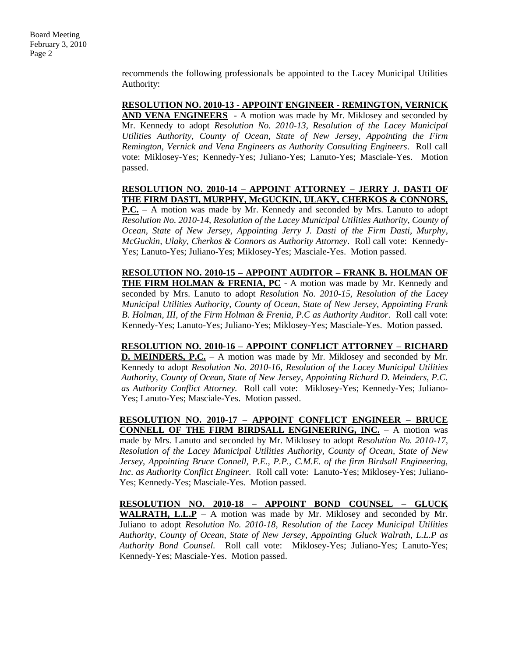recommends the following professionals be appointed to the Lacey Municipal Utilities Authority:

### **RESOLUTION NO. 2010-13 - APPOINT ENGINEER - REMINGTON, VERNICK**

**AND VENA ENGINEERS** - A motion was made by Mr. Miklosey and seconded by Mr. Kennedy to adopt *Resolution No. 2010-13, Resolution of the Lacey Municipal Utilities Authority, County of Ocean, State of New Jersey, Appointing the Firm Remington, Vernick and Vena Engineers as Authority Consulting Engineers*. Roll call vote: Miklosey-Yes; Kennedy-Yes; Juliano-Yes; Lanuto-Yes; Masciale-Yes. Motion passed.

#### **RESOLUTION NO. 2010-14 – APPOINT ATTORNEY – JERRY J. DASTI OF THE FIRM DASTI, MURPHY, McGUCKIN, ULAKY, CHERKOS & CONNORS,**

**P.C.** – A motion was made by Mr. Kennedy and seconded by Mrs. Lanuto to adopt *Resolution No. 2010-14, Resolution of the Lacey Municipal Utilities Authority, County of Ocean, State of New Jersey, Appointing Jerry J. Dasti of the Firm Dasti, Murphy*, *McGuckin, Ulaky, Cherkos & Connors as Authority Attorney*. Roll call vote: Kennedy-Yes; Lanuto-Yes; Juliano-Yes; Miklosey-Yes; Masciale-Yes. Motion passed.

**RESOLUTION NO. 2010-15 – APPOINT AUDITOR – FRANK B. HOLMAN OF**  THE FIRM HOLMAN & FRENIA, PC - A motion was made by Mr. Kennedy and seconded by Mrs. Lanuto to adopt *Resolution No. 2010-15, Resolution of the Lacey Municipal Utilities Authority, County of Ocean, State of New Jersey, Appointing Frank B. Holman, III, of the Firm Holman & Frenia, P.C as Authority Auditor*. Roll call vote: Kennedy-Yes; Lanuto-Yes; Juliano-Yes; Miklosey-Yes; Masciale-Yes. Motion passed.

**RESOLUTION NO. 2010-16 – APPOINT CONFLICT ATTORNEY – RICHARD D. MEINDERS, P.C.** – A motion was made by Mr. Miklosey and seconded by Mr. Kennedy to adopt *Resolution No. 2010-16, Resolution of the Lacey Municipal Utilities Authority, County of Ocean, State of New Jersey*, *Appointing Richard D. Meinders, P.C. as Authority Conflict Attorney.* Roll call vote: Miklosey-Yes; Kennedy-Yes; Juliano-Yes; Lanuto-Yes; Masciale-Yes. Motion passed.

**RESOLUTION NO. 2010-17 – APPOINT CONFLICT ENGINEER – BRUCE CONNELL OF THE FIRM BIRDSALL ENGINEERING, INC.** – A motion was made by Mrs. Lanuto and seconded by Mr. Miklosey to adopt *Resolution No. 2010-17, Resolution of the Lacey Municipal Utilities Authority, County of Ocean, State of New Jersey*, *Appointing Bruce Connell, P.E., P.P., C.M.E. of the firm Birdsall Engineering, Inc. as Authority Conflict Engineer.* Roll call vote: Lanuto-Yes; Miklosey-Yes; Juliano-Yes; Kennedy-Yes; Masciale-Yes. Motion passed.

**RESOLUTION NO. 2010-18 – APPOINT BOND COUNSEL – GLUCK WALRATH, L.L.P** – A motion was made by Mr. Miklosey and seconded by Mr. Juliano to adopt *Resolution No. 2010-18, Resolution of the Lacey Municipal Utilities Authority, County of Ocean, State of New Jersey*, *Appointing Gluck Walrath, L.L.P as Authority Bond Counsel.* Roll call vote: Miklosey-Yes; Juliano-Yes; Lanuto-Yes; Kennedy-Yes; Masciale-Yes. Motion passed.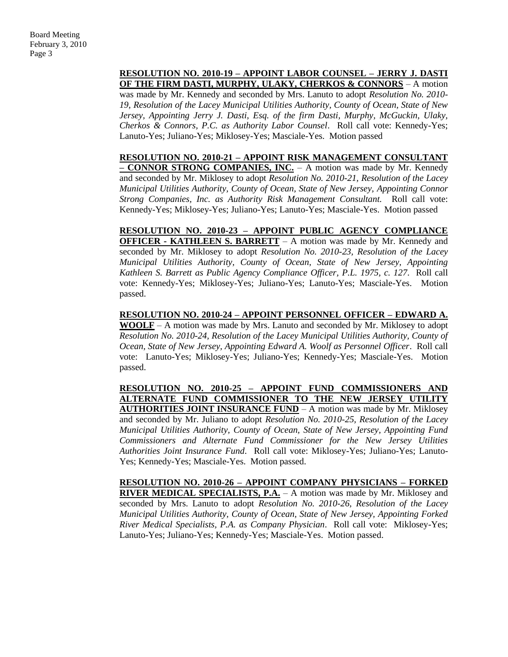### **RESOLUTION NO. 2010-19 – APPOINT LABOR COUNSEL – JERRY J. DASTI OF THE FIRM DASTI, MURPHY, ULAKY, CHERKOS & CONNORS** – A motion

was made by Mr. Kennedy and seconded by Mrs. Lanuto to adopt *Resolution No. 2010- 19, Resolution of the Lacey Municipal Utilities Authority, County of Ocean, State of New Jersey, Appointing Jerry J. Dasti, Esq. of the firm Dasti, Murphy, McGuckin, Ulaky, Cherkos & Connors, P.C. as Authority Labor Counsel*. Roll call vote: Kennedy-Yes; Lanuto-Yes; Juliano-Yes; Miklosey-Yes; Masciale-Yes. Motion passed

**RESOLUTION NO. 2010-21 – APPOINT RISK MANAGEMENT CONSULTANT – CONNOR STRONG COMPANIES, INC.** – A motion was made by Mr. Kennedy and seconded by Mr. Miklosey to adopt *Resolution No. 2010-21, Resolution of the Lacey Municipal Utilities Authority, County of Ocean, State of New Jersey, Appointing Connor Strong Companies, Inc. as Authority Risk Management Consultant.* Roll call vote: Kennedy-Yes; Miklosey-Yes; Juliano-Yes; Lanuto-Yes; Masciale-Yes. Motion passed

**RESOLUTION NO. 2010-23 – APPOINT PUBLIC AGENCY COMPLIANCE OFFICER - KATHLEEN S. BARRETT** – A motion was made by Mr. Kennedy and seconded by Mr. Miklosey to adopt *Resolution No. 2010-23, Resolution of the Lacey Municipal Utilities Authority, County of Ocean, State of New Jersey, Appointing Kathleen S. Barrett as Public Agency Compliance Officer, P.L. 1975, c. 127*. Roll call vote: Kennedy-Yes; Miklosey-Yes; Juliano-Yes; Lanuto-Yes; Masciale-Yes. Motion passed.

**RESOLUTION NO. 2010-24 – APPOINT PERSONNEL OFFICER – EDWARD A. WOOLF** – A motion was made by Mrs. Lanuto and seconded by Mr. Miklosey to adopt *Resolution No. 2010-24, Resolution of the Lacey Municipal Utilities Authority, County of Ocean, State of New Jersey, Appointing Edward A. Woolf as Personnel Officer*. Roll call vote: Lanuto-Yes; Miklosey-Yes; Juliano-Yes; Kennedy-Yes; Masciale-Yes. Motion passed.

**RESOLUTION NO. 2010-25 – APPOINT FUND COMMISSIONERS AND ALTERNATE FUND COMMISSIONER TO THE NEW JERSEY UTILITY AUTHORITIES JOINT INSURANCE FUND** – A motion was made by Mr. Miklosey and seconded by Mr. Juliano to adopt *Resolution No. 2010-25, Resolution of the Lacey Municipal Utilities Authority, County of Ocean, State of New Jersey, Appointing Fund Commissioners and Alternate Fund Commissioner for the New Jersey Utilities Authorities Joint Insurance Fund*. Roll call vote: Miklosey-Yes; Juliano-Yes; Lanuto-Yes; Kennedy-Yes; Masciale-Yes. Motion passed.

**RESOLUTION NO. 2010-26 – APPOINT COMPANY PHYSICIANS – FORKED RIVER MEDICAL SPECIALISTS, P.A.** – A motion was made by Mr. Miklosey and seconded by Mrs. Lanuto to adopt *Resolution No. 2010-26, Resolution of the Lacey Municipal Utilities Authority, County of Ocean, State of New Jersey, Appointing Forked River Medical Specialists, P.A. as Company Physician*. Roll call vote: Miklosey-Yes; Lanuto-Yes; Juliano-Yes; Kennedy-Yes; Masciale-Yes. Motion passed.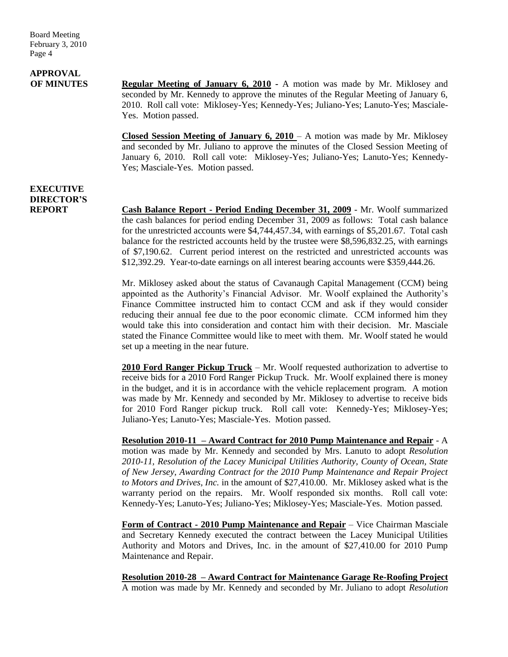## **APPROVAL**

**OF MINUTES Regular Meeting of January 6, 2010 -** A motion was made by Mr. Miklosey and seconded by Mr. Kennedy to approve the minutes of the Regular Meeting of January 6, 2010. Roll call vote: Miklosey-Yes; Kennedy-Yes; Juliano-Yes; Lanuto-Yes; Masciale-Yes. Motion passed.

> **Closed Session Meeting of January 6, 2010** – A motion was made by Mr. Miklosey and seconded by Mr. Juliano to approve the minutes of the Closed Session Meeting of January 6, 2010. Roll call vote: Miklosey-Yes; Juliano-Yes; Lanuto-Yes; Kennedy-Yes; Masciale-Yes. Motion passed.

### **EXECUTIVE DIRECTOR'S**

**REPORT Cash Balance Report - Period Ending December 31, 2009** - Mr. Woolf summarized the cash balances for period ending December 31, 2009 as follows: Total cash balance for the unrestricted accounts were \$4,744,457.34, with earnings of \$5,201.67. Total cash balance for the restricted accounts held by the trustee were \$8,596,832.25, with earnings of \$7,190.62. Current period interest on the restricted and unrestricted accounts was \$12,392.29. Year-to-date earnings on all interest bearing accounts were \$359,444.26.

> Mr. Miklosey asked about the status of Cavanaugh Capital Management (CCM) being appointed as the Authority's Financial Advisor. Mr. Woolf explained the Authority's Finance Committee instructed him to contact CCM and ask if they would consider reducing their annual fee due to the poor economic climate. CCM informed him they would take this into consideration and contact him with their decision. Mr. Masciale stated the Finance Committee would like to meet with them. Mr. Woolf stated he would set up a meeting in the near future.

> **2010 Ford Ranger Pickup Truck** – Mr. Woolf requested authorization to advertise to receive bids for a 2010 Ford Ranger Pickup Truck. Mr. Woolf explained there is money in the budget, and it is in accordance with the vehicle replacement program. A motion was made by Mr. Kennedy and seconded by Mr. Miklosey to advertise to receive bids for 2010 Ford Ranger pickup truck. Roll call vote: Kennedy-Yes; Miklosey-Yes; Juliano-Yes; Lanuto-Yes; Masciale-Yes. Motion passed.

> **Resolution 2010-11 – Award Contract for 2010 Pump Maintenance and Repair** - A motion was made by Mr. Kennedy and seconded by Mrs. Lanuto to adopt *Resolution 2010-11, Resolution of the Lacey Municipal Utilities Authority, County of Ocean, State of New Jersey, Awarding Contract for the 2010 Pump Maintenance and Repair Project to Motors and Drives, Inc.* in the amount of \$27,410.00. Mr. Miklosey asked what is the warranty period on the repairs. Mr. Woolf responded six months. Roll call vote: Kennedy-Yes; Lanuto-Yes; Juliano-Yes; Miklosey-Yes; Masciale-Yes. Motion passed.

> **Form of Contract - 2010 Pump Maintenance and Repair** – Vice Chairman Masciale and Secretary Kennedy executed the contract between the Lacey Municipal Utilities Authority and Motors and Drives, Inc. in the amount of \$27,410.00 for 2010 Pump Maintenance and Repair.

> **Resolution 2010-28 – Award Contract for Maintenance Garage Re-Roofing Project** A motion was made by Mr. Kennedy and seconded by Mr. Juliano to adopt *Resolution*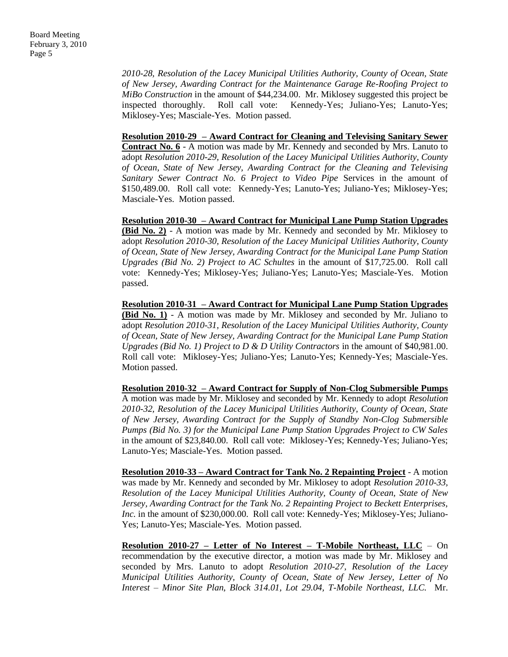*2010-28, Resolution of the Lacey Municipal Utilities Authority, County of Ocean, State of New Jersey, Awarding Contract for the Maintenance Garage Re-Roofing Project to MiBo Construction* in the amount of \$44,234.00. Mr. Miklosey suggested this project be inspected thoroughly. Roll call vote: Kennedy-Yes; Juliano-Yes; Lanuto-Yes; Miklosey-Yes; Masciale-Yes. Motion passed.

#### **Resolution 2010-29 – Award Contract for Cleaning and Televising Sanitary Sewer**

**Contract No. 6** - A motion was made by Mr. Kennedy and seconded by Mrs. Lanuto to adopt *Resolution 2010-29, Resolution of the Lacey Municipal Utilities Authority, County of Ocean, State of New Jersey, Awarding Contract for the Cleaning and Televising Sanitary Sewer Contract No. 6 Project to Video Pipe* Services in the amount of \$150,489.00. Roll call vote: Kennedy-Yes; Lanuto-Yes; Juliano-Yes; Miklosey-Yes; Masciale-Yes. Motion passed.

**Resolution 2010-30 – Award Contract for Municipal Lane Pump Station Upgrades (Bid No. 2)** - A motion was made by Mr. Kennedy and seconded by Mr. Miklosey to adopt *Resolution 2010-30, Resolution of the Lacey Municipal Utilities Authority, County of Ocean, State of New Jersey, Awarding Contract for the Municipal Lane Pump Station Upgrades (Bid No. 2) Project to AC Schultes* in the amount of \$17,725.00. Roll call vote: Kennedy-Yes; Miklosey-Yes; Juliano-Yes; Lanuto-Yes; Masciale-Yes. Motion passed.

**Resolution 2010-31 – Award Contract for Municipal Lane Pump Station Upgrades (Bid No. 1)** - A motion was made by Mr. Miklosey and seconded by Mr. Juliano to adopt *Resolution 2010-31, Resolution of the Lacey Municipal Utilities Authority, County of Ocean, State of New Jersey, Awarding Contract for the Municipal Lane Pump Station Upgrades (Bid No. 1) Project to D & D Utility Contractors* in the amount of \$40,981.00. Roll call vote: Miklosey-Yes; Juliano-Yes; Lanuto-Yes; Kennedy-Yes; Masciale-Yes. Motion passed.

**Resolution 2010-32 – Award Contract for Supply of Non-Clog Submersible Pumps** A motion was made by Mr. Miklosey and seconded by Mr. Kennedy to adopt *Resolution 2010-32, Resolution of the Lacey Municipal Utilities Authority, County of Ocean, State of New Jersey, Awarding Contract for the Supply of Standby Non-Clog Submersible Pumps (Bid No. 3) for the Municipal Lane Pump Station Upgrades Project to CW Sales*  in the amount of \$23,840.00. Roll call vote: Miklosey-Yes; Kennedy-Yes; Juliano-Yes; Lanuto-Yes; Masciale-Yes. Motion passed.

**Resolution 2010-33 – Award Contract for Tank No. 2 Repainting Project** - A motion was made by Mr. Kennedy and seconded by Mr. Miklosey to adopt *Resolution 2010-33, Resolution of the Lacey Municipal Utilities Authority, County of Ocean, State of New Jersey, Awarding Contract for the Tank No. 2 Repainting Project to Beckett Enterprises, Inc.* in the amount of \$230,000.00. Roll call vote: Kennedy-Yes; Miklosey-Yes; Juliano-Yes; Lanuto-Yes; Masciale-Yes. Motion passed.

**Resolution 2010-27 – Letter of No Interest – T-Mobile Northeast, LLC** – On recommendation by the executive director, a motion was made by Mr. Miklosey and seconded by Mrs. Lanuto to adopt *Resolution 2010-27, Resolution of the Lacey Municipal Utilities Authority, County of Ocean, State of New Jersey, Letter of No Interest – Minor Site Plan, Block 314.01, Lot 29.04, T-Mobile Northeast, LLC.* Mr.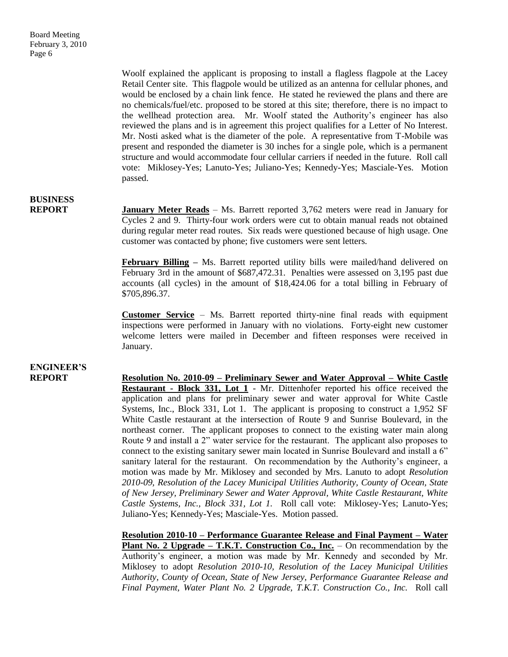Board Meeting February 3, 2010 Page 6

> Woolf explained the applicant is proposing to install a flagless flagpole at the Lacey Retail Center site. This flagpole would be utilized as an antenna for cellular phones, and would be enclosed by a chain link fence. He stated he reviewed the plans and there are no chemicals/fuel/etc. proposed to be stored at this site; therefore, there is no impact to the wellhead protection area. Mr. Woolf stated the Authority's engineer has also reviewed the plans and is in agreement this project qualifies for a Letter of No Interest. Mr. Nosti asked what is the diameter of the pole. A representative from T-Mobile was present and responded the diameter is 30 inches for a single pole, which is a permanent structure and would accommodate four cellular carriers if needed in the future. Roll call vote: Miklosey-Yes; Lanuto-Yes; Juliano-Yes; Kennedy-Yes; Masciale-Yes. Motion passed.

### **BUSINESS**

**REPORT January Meter Reads** – Ms. Barrett reported 3,762 meters were read in January for Cycles 2 and 9. Thirty-four work orders were cut to obtain manual reads not obtained during regular meter read routes. Six reads were questioned because of high usage. One customer was contacted by phone; five customers were sent letters.

> **February Billing –** Ms. Barrett reported utility bills were mailed/hand delivered on February 3rd in the amount of \$687,472.31. Penalties were assessed on 3,195 past due accounts (all cycles) in the amount of \$18,424.06 for a total billing in February of \$705,896.37.

> **Customer Service** – Ms. Barrett reported thirty-nine final reads with equipment inspections were performed in January with no violations. Forty-eight new customer welcome letters were mailed in December and fifteen responses were received in January.

## **ENGINEER'S**

**REPORT Resolution No. 2010-09 – Preliminary Sewer and Water Approval – White Castle Restaurant - Block 331, Lot 1** - Mr. Dittenhofer reported his office received the application and plans for preliminary sewer and water approval for White Castle Systems, Inc., Block 331, Lot 1. The applicant is proposing to construct a 1,952 SF White Castle restaurant at the intersection of Route 9 and Sunrise Boulevard, in the northeast corner. The applicant proposes to connect to the existing water main along Route 9 and install a 2" water service for the restaurant. The applicant also proposes to connect to the existing sanitary sewer main located in Sunrise Boulevard and install a 6" sanitary lateral for the restaurant. On recommendation by the Authority's engineer, a motion was made by Mr. Miklosey and seconded by Mrs. Lanuto to adopt *Resolution 2010-09, Resolution of the Lacey Municipal Utilities Authority, County of Ocean, State of New Jersey, Preliminary Sewer and Water Approval, White Castle Restaurant, White Castle Systems, Inc., Block 331, Lot 1.* Roll call vote: Miklosey-Yes; Lanuto-Yes; Juliano-Yes; Kennedy-Yes; Masciale-Yes. Motion passed.

> **Resolution 2010-10 – Performance Guarantee Release and Final Payment – Water Plant No. 2 Upgrade – T.K.T. Construction Co., Inc.** – On recommendation by the Authority's engineer, a motion was made by Mr. Kennedy and seconded by Mr. Miklosey to adopt *Resolution 2010-10, Resolution of the Lacey Municipal Utilities Authority, County of Ocean, State of New Jersey, Performance Guarantee Release and Final Payment, Water Plant No. 2 Upgrade, T.K.T. Construction Co., Inc.* Roll call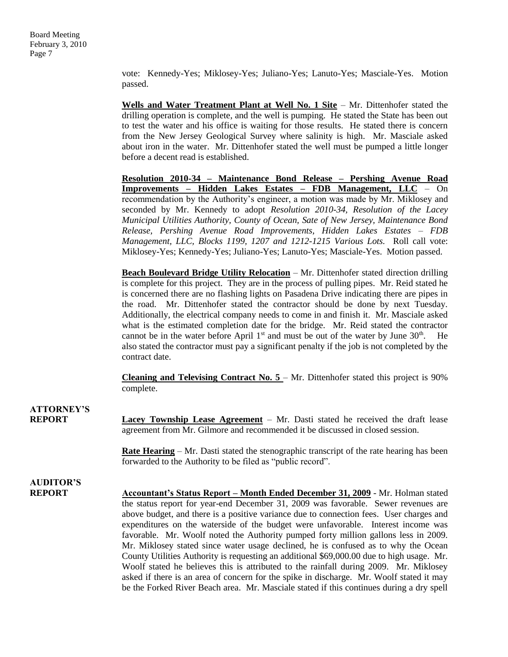vote: Kennedy-Yes; Miklosey-Yes; Juliano-Yes; Lanuto-Yes; Masciale-Yes. Motion passed.

**Wells and Water Treatment Plant at Well No. 1 Site** – Mr. Dittenhofer stated the drilling operation is complete, and the well is pumping. He stated the State has been out to test the water and his office is waiting for those results. He stated there is concern from the New Jersey Geological Survey where salinity is high. Mr. Masciale asked about iron in the water. Mr. Dittenhofer stated the well must be pumped a little longer before a decent read is established.

**Resolution 2010-34 – Maintenance Bond Release – Pershing Avenue Road Improvements – Hidden Lakes Estates – FDB Management, LLC** – On recommendation by the Authority's engineer, a motion was made by Mr. Miklosey and seconded by Mr. Kennedy to adopt *Resolution 2010-34, Resolution of the Lacey Municipal Utilities Authority, County of Ocean, Sate of New Jersey, Maintenance Bond Release, Pershing Avenue Road Improvements, Hidden Lakes Estates – FDB Management, LLC, Blocks 1199, 1207 and 1212-1215 Various Lots.* Roll call vote: Miklosey-Yes; Kennedy-Yes; Juliano-Yes; Lanuto-Yes; Masciale-Yes. Motion passed.

**Beach Boulevard Bridge Utility Relocation** – Mr. Dittenhofer stated direction drilling is complete for this project. They are in the process of pulling pipes. Mr. Reid stated he is concerned there are no flashing lights on Pasadena Drive indicating there are pipes in the road. Mr. Dittenhofer stated the contractor should be done by next Tuesday. Additionally, the electrical company needs to come in and finish it. Mr. Masciale asked what is the estimated completion date for the bridge. Mr. Reid stated the contractor cannot be in the water before April  $1<sup>st</sup>$  and must be out of the water by June  $30<sup>th</sup>$ . He also stated the contractor must pay a significant penalty if the job is not completed by the contract date.

**Cleaning and Televising Contract No. 5** – Mr. Dittenhofer stated this project is 90% complete.

**ATTORNEY'S REPORT Lacey Township Lease Agreement** – Mr. Dasti stated he received the draft lease agreement from Mr. Gilmore and recommended it be discussed in closed session. **Rate Hearing** – Mr. Dasti stated the stenographic transcript of the rate hearing has been

forwarded to the Authority to be filed as "public record".

## **AUDITOR'S**

**REPORT Accountant's Status Report – Month Ended December 31, 2009** - Mr. Holman stated the status report for year-end December 31, 2009 was favorable. Sewer revenues are above budget, and there is a positive variance due to connection fees. User charges and expenditures on the waterside of the budget were unfavorable. Interest income was favorable. Mr. Woolf noted the Authority pumped forty million gallons less in 2009. Mr. Miklosey stated since water usage declined, he is confused as to why the Ocean County Utilities Authority is requesting an additional \$69,000.00 due to high usage. Mr. Woolf stated he believes this is attributed to the rainfall during 2009. Mr. Miklosey asked if there is an area of concern for the spike in discharge. Mr. Woolf stated it may be the Forked River Beach area. Mr. Masciale stated if this continues during a dry spell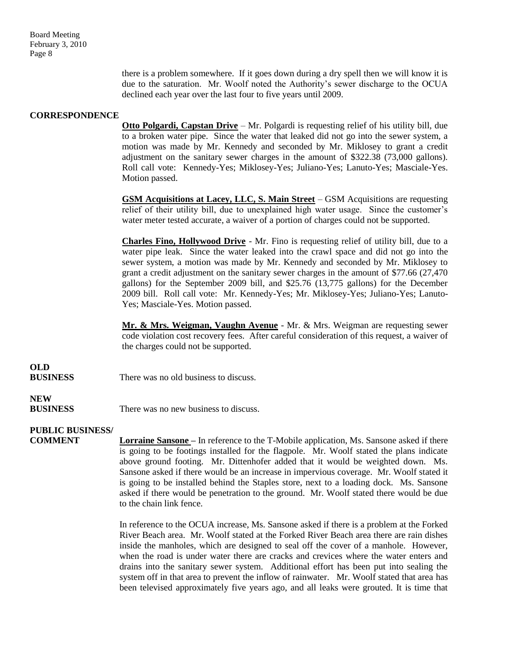Board Meeting February 3, 2010 Page 8

> there is a problem somewhere. If it goes down during a dry spell then we will know it is due to the saturation. Mr. Woolf noted the Authority's sewer discharge to the OCUA declined each year over the last four to five years until 2009.

#### **CORRESPONDENCE**

**Otto Polgardi, Capstan Drive** – Mr. Polgardi is requesting relief of his utility bill, due to a broken water pipe. Since the water that leaked did not go into the sewer system, a motion was made by Mr. Kennedy and seconded by Mr. Miklosey to grant a credit adjustment on the sanitary sewer charges in the amount of \$322.38 (73,000 gallons). Roll call vote: Kennedy-Yes; Miklosey-Yes; Juliano-Yes; Lanuto-Yes; Masciale-Yes. Motion passed.

**GSM Acquisitions at Lacey, LLC, S. Main Street** – GSM Acquisitions are requesting relief of their utility bill, due to unexplained high water usage. Since the customer's water meter tested accurate, a waiver of a portion of charges could not be supported.

**Charles Fino, Hollywood Drive** - Mr. Fino is requesting relief of utility bill, due to a water pipe leak. Since the water leaked into the crawl space and did not go into the sewer system, a motion was made by Mr. Kennedy and seconded by Mr. Miklosey to grant a credit adjustment on the sanitary sewer charges in the amount of \$77.66 (27,470 gallons) for the September 2009 bill, and \$25.76 (13,775 gallons) for the December 2009 bill. Roll call vote: Mr. Kennedy-Yes; Mr. Miklosey-Yes; Juliano-Yes; Lanuto-Yes; Masciale-Yes. Motion passed.

**Mr. & Mrs. Weigman, Vaughn Avenue** - Mr. & Mrs. Weigman are requesting sewer code violation cost recovery fees. After careful consideration of this request, a waiver of the charges could not be supported.

**OLD**

**BUSINESS** There was no old business to discuss.

### **NEW**

**BUSINESS** There was no new business to discuss.

### **PUBLIC BUSINESS/**

**COMMENT Lorraine Sansone –** In reference to the T-Mobile application, Ms. Sansone asked if there is going to be footings installed for the flagpole. Mr. Woolf stated the plans indicate above ground footing. Mr. Dittenhofer added that it would be weighted down. Ms. Sansone asked if there would be an increase in impervious coverage. Mr. Woolf stated it is going to be installed behind the Staples store, next to a loading dock. Ms. Sansone asked if there would be penetration to the ground. Mr. Woolf stated there would be due to the chain link fence.

> In reference to the OCUA increase, Ms. Sansone asked if there is a problem at the Forked River Beach area. Mr. Woolf stated at the Forked River Beach area there are rain dishes inside the manholes, which are designed to seal off the cover of a manhole. However, when the road is under water there are cracks and crevices where the water enters and drains into the sanitary sewer system. Additional effort has been put into sealing the system off in that area to prevent the inflow of rainwater. Mr. Woolf stated that area has been televised approximately five years ago, and all leaks were grouted. It is time that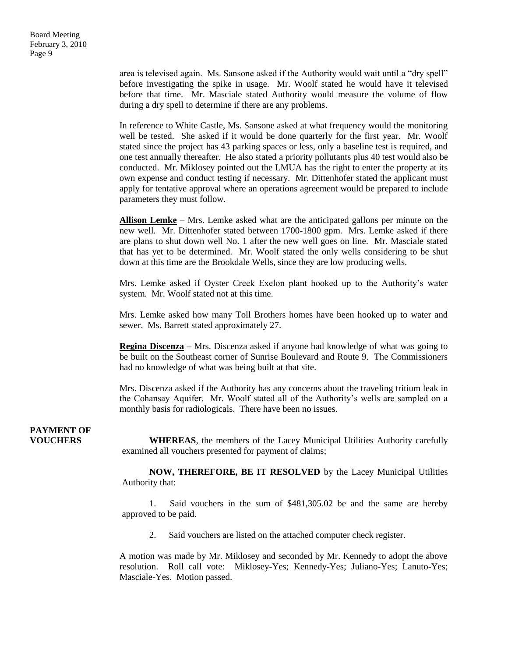area is televised again. Ms. Sansone asked if the Authority would wait until a "dry spell" before investigating the spike in usage. Mr. Woolf stated he would have it televised before that time. Mr. Masciale stated Authority would measure the volume of flow during a dry spell to determine if there are any problems.

In reference to White Castle, Ms. Sansone asked at what frequency would the monitoring well be tested. She asked if it would be done quarterly for the first year. Mr. Woolf stated since the project has 43 parking spaces or less, only a baseline test is required, and one test annually thereafter. He also stated a priority pollutants plus 40 test would also be conducted. Mr. Miklosey pointed out the LMUA has the right to enter the property at its own expense and conduct testing if necessary. Mr. Dittenhofer stated the applicant must apply for tentative approval where an operations agreement would be prepared to include parameters they must follow.

**Allison Lemke** – Mrs. Lemke asked what are the anticipated gallons per minute on the new well. Mr. Dittenhofer stated between 1700-1800 gpm. Mrs. Lemke asked if there are plans to shut down well No. 1 after the new well goes on line. Mr. Masciale stated that has yet to be determined. Mr. Woolf stated the only wells considering to be shut down at this time are the Brookdale Wells, since they are low producing wells.

Mrs. Lemke asked if Oyster Creek Exelon plant hooked up to the Authority's water system. Mr. Woolf stated not at this time.

Mrs. Lemke asked how many Toll Brothers homes have been hooked up to water and sewer. Ms. Barrett stated approximately 27.

**Regina Discenza** – Mrs. Discenza asked if anyone had knowledge of what was going to be built on the Southeast corner of Sunrise Boulevard and Route 9. The Commissioners had no knowledge of what was being built at that site.

Mrs. Discenza asked if the Authority has any concerns about the traveling tritium leak in the Cohansay Aquifer. Mr. Woolf stated all of the Authority's wells are sampled on a monthly basis for radiologicals. There have been no issues.

## **PAYMENT OF**

**VOUCHERS WHEREAS**, the members of the Lacey Municipal Utilities Authority carefully examined all vouchers presented for payment of claims;

> **NOW, THEREFORE, BE IT RESOLVED** by the Lacey Municipal Utilities Authority that:

> 1. Said vouchers in the sum of \$481,305.02 be and the same are hereby approved to be paid.

2. Said vouchers are listed on the attached computer check register.

A motion was made by Mr. Miklosey and seconded by Mr. Kennedy to adopt the above resolution. Roll call vote: Miklosey-Yes; Kennedy-Yes; Juliano-Yes; Lanuto-Yes; Masciale-Yes. Motion passed.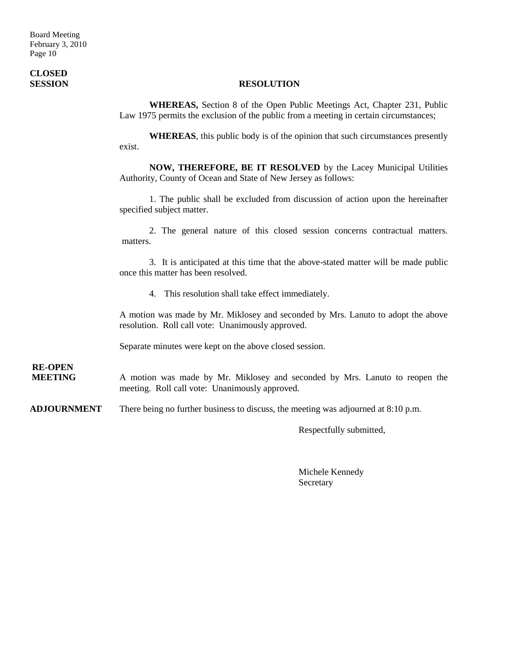# **CLOSED**

### **SESSION RESOLUTION**

**WHEREAS,** Section 8 of the Open Public Meetings Act, Chapter 231, Public Law 1975 permits the exclusion of the public from a meeting in certain circumstances;

**WHEREAS**, this public body is of the opinion that such circumstances presently exist.

**NOW, THEREFORE, BE IT RESOLVED** by the Lacey Municipal Utilities Authority, County of Ocean and State of New Jersey as follows:

1. The public shall be excluded from discussion of action upon the hereinafter specified subject matter.

2. The general nature of this closed session concerns contractual matters. matters.

3. It is anticipated at this time that the above-stated matter will be made public once this matter has been resolved.

4. This resolution shall take effect immediately.

A motion was made by Mr. Miklosey and seconded by Mrs. Lanuto to adopt the above resolution. Roll call vote: Unanimously approved.

Separate minutes were kept on the above closed session.

**RE-OPEN**

**MEETING** A motion was made by Mr. Miklosey and seconded by Mrs. Lanuto to reopen the meeting. Roll call vote: Unanimously approved.

**ADJOURNMENT** There being no further business to discuss, the meeting was adjourned at 8:10 p.m.

Respectfully submitted,

Michele Kennedy Secretary